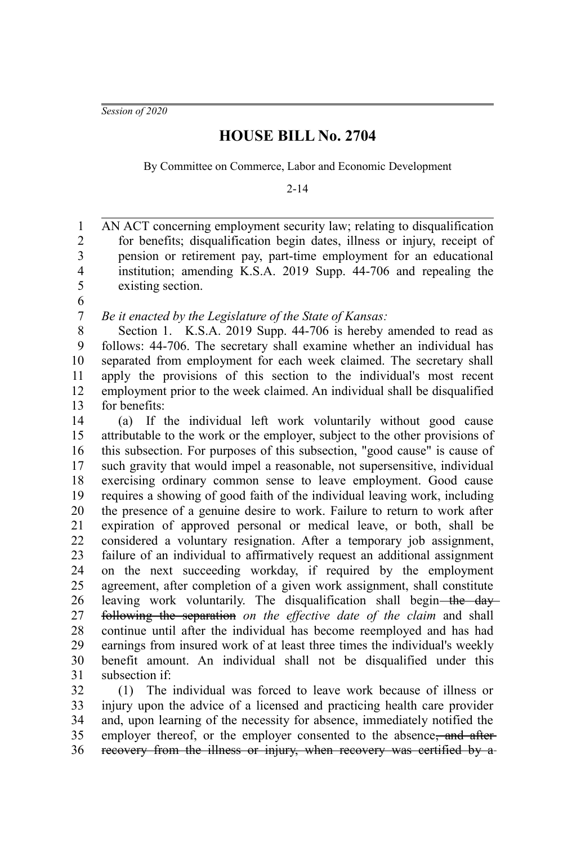*Session of 2020*

## **HOUSE BILL No. 2704**

By Committee on Commerce, Labor and Economic Development

2-14

AN ACT concerning employment security law; relating to disqualification for benefits; disqualification begin dates, illness or injury, receipt of pension or retirement pay, part-time employment for an educational institution; amending K.S.A. 2019 Supp. 44-706 and repealing the existing section. 1 2 3 4 5

6

*Be it enacted by the Legislature of the State of Kansas:* 7

Section 1. K.S.A. 2019 Supp. 44-706 is hereby amended to read as follows: 44-706. The secretary shall examine whether an individual has separated from employment for each week claimed. The secretary shall apply the provisions of this section to the individual's most recent employment prior to the week claimed. An individual shall be disqualified for benefits: 8 9 10 11 12 13

(a) If the individual left work voluntarily without good cause attributable to the work or the employer, subject to the other provisions of this subsection. For purposes of this subsection, "good cause" is cause of such gravity that would impel a reasonable, not supersensitive, individual exercising ordinary common sense to leave employment. Good cause requires a showing of good faith of the individual leaving work, including the presence of a genuine desire to work. Failure to return to work after expiration of approved personal or medical leave, or both, shall be considered a voluntary resignation. After a temporary job assignment, failure of an individual to affirmatively request an additional assignment on the next succeeding workday, if required by the employment agreement, after completion of a given work assignment, shall constitute leaving work voluntarily. The disqualification shall begin—the dayfollowing the separation *on the effective date of the claim* and shall continue until after the individual has become reemployed and has had earnings from insured work of at least three times the individual's weekly benefit amount. An individual shall not be disqualified under this subsection if: 14 15 16 17 18 19 20 21 22 23 24 25 26 27 28 29 30 31

(1) The individual was forced to leave work because of illness or injury upon the advice of a licensed and practicing health care provider and, upon learning of the necessity for absence, immediately notified the employer thereof, or the employer consented to the absence<del>, and after</del> recovery from the illness or injury, when recovery was certified by a-32 33 34 35 36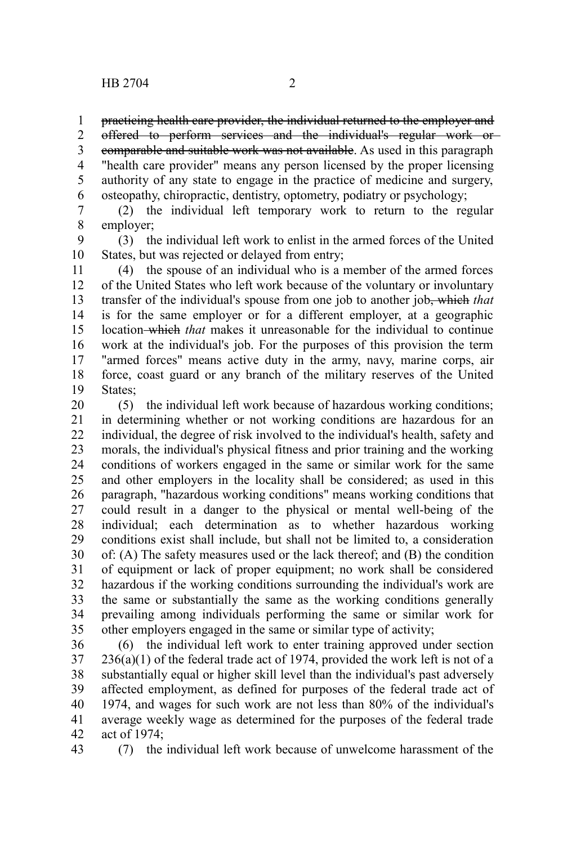practicing health care provider, the individual returned to the employer and 1

offered to perform services and the individual's regular work or 2

comparable and suitable work was not available. As used in this paragraph "health care provider" means any person licensed by the proper licensing authority of any state to engage in the practice of medicine and surgery, osteopathy, chiropractic, dentistry, optometry, podiatry or psychology; 3 4 5 6

(2) the individual left temporary work to return to the regular employer; 7 8

(3) the individual left work to enlist in the armed forces of the United States, but was rejected or delayed from entry; 9 10

(4) the spouse of an individual who is a member of the armed forces of the United States who left work because of the voluntary or involuntary transfer of the individual's spouse from one job to another job, which *that* is for the same employer or for a different employer, at a geographic location which *that* makes it unreasonable for the individual to continue work at the individual's job. For the purposes of this provision the term "armed forces" means active duty in the army, navy, marine corps, air force, coast guard or any branch of the military reserves of the United States: 11 12 13 14 15 16 17 18 19

(5) the individual left work because of hazardous working conditions; in determining whether or not working conditions are hazardous for an individual, the degree of risk involved to the individual's health, safety and morals, the individual's physical fitness and prior training and the working conditions of workers engaged in the same or similar work for the same and other employers in the locality shall be considered; as used in this paragraph, "hazardous working conditions" means working conditions that could result in a danger to the physical or mental well-being of the individual; each determination as to whether hazardous working conditions exist shall include, but shall not be limited to, a consideration of: (A) The safety measures used or the lack thereof; and (B) the condition of equipment or lack of proper equipment; no work shall be considered hazardous if the working conditions surrounding the individual's work are the same or substantially the same as the working conditions generally prevailing among individuals performing the same or similar work for other employers engaged in the same or similar type of activity; 20 21 22 23 24 25 26 27 28 29 30 31 32 33 34 35

(6) the individual left work to enter training approved under section  $236(a)(1)$  of the federal trade act of 1974, provided the work left is not of a substantially equal or higher skill level than the individual's past adversely affected employment, as defined for purposes of the federal trade act of 1974, and wages for such work are not less than 80% of the individual's average weekly wage as determined for the purposes of the federal trade act of 1974; 36 37 38 39 40 41 42

43

(7) the individual left work because of unwelcome harassment of the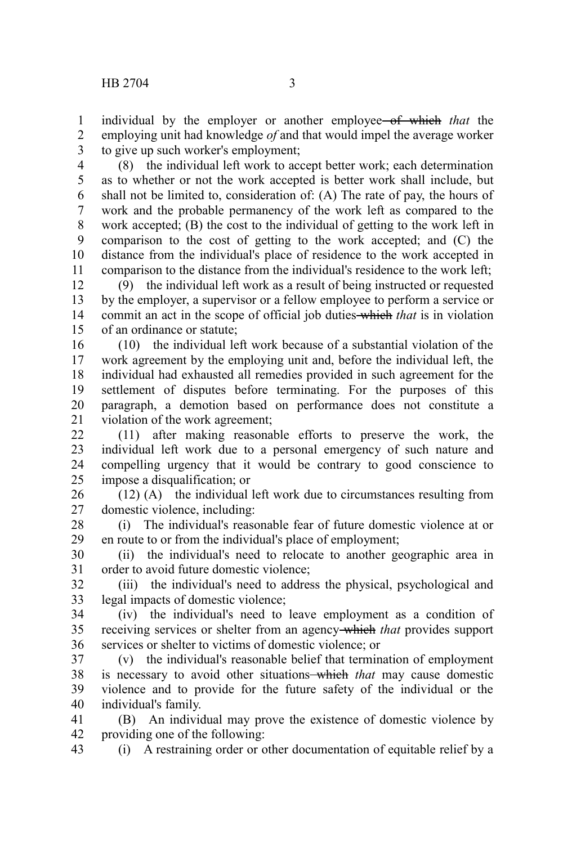43

individual by the employer or another employee of which *that* the employing unit had knowledge *of* and that would impel the average worker to give up such worker's employment; 1 2 3

(8) the individual left work to accept better work; each determination as to whether or not the work accepted is better work shall include, but shall not be limited to, consideration of: (A) The rate of pay, the hours of work and the probable permanency of the work left as compared to the work accepted; (B) the cost to the individual of getting to the work left in comparison to the cost of getting to the work accepted; and (C) the distance from the individual's place of residence to the work accepted in comparison to the distance from the individual's residence to the work left; 4 5 6 7 8 9 10 11

(9) the individual left work as a result of being instructed or requested by the employer, a supervisor or a fellow employee to perform a service or commit an act in the scope of official job duties which *that* is in violation of an ordinance or statute; 12 13 14 15

(10) the individual left work because of a substantial violation of the work agreement by the employing unit and, before the individual left, the individual had exhausted all remedies provided in such agreement for the settlement of disputes before terminating. For the purposes of this paragraph, a demotion based on performance does not constitute a violation of the work agreement; 16 17 18 19 20 21

(11) after making reasonable efforts to preserve the work, the individual left work due to a personal emergency of such nature and compelling urgency that it would be contrary to good conscience to impose a disqualification; or 22 23 24 25

(12) (A) the individual left work due to circumstances resulting from domestic violence, including: 26 27

(i) The individual's reasonable fear of future domestic violence at or en route to or from the individual's place of employment; 28 29

(ii) the individual's need to relocate to another geographic area in order to avoid future domestic violence; 30 31

(iii) the individual's need to address the physical, psychological and legal impacts of domestic violence; 32 33

(iv) the individual's need to leave employment as a condition of receiving services or shelter from an agency which *that* provides support services or shelter to victims of domestic violence; or 34 35 36

(v) the individual's reasonable belief that termination of employment is necessary to avoid other situations—which *that* may cause domestic violence and to provide for the future safety of the individual or the individual's family. 37 38 39 40

(B) An individual may prove the existence of domestic violence by providing one of the following: 41 42

(i) A restraining order or other documentation of equitable relief by a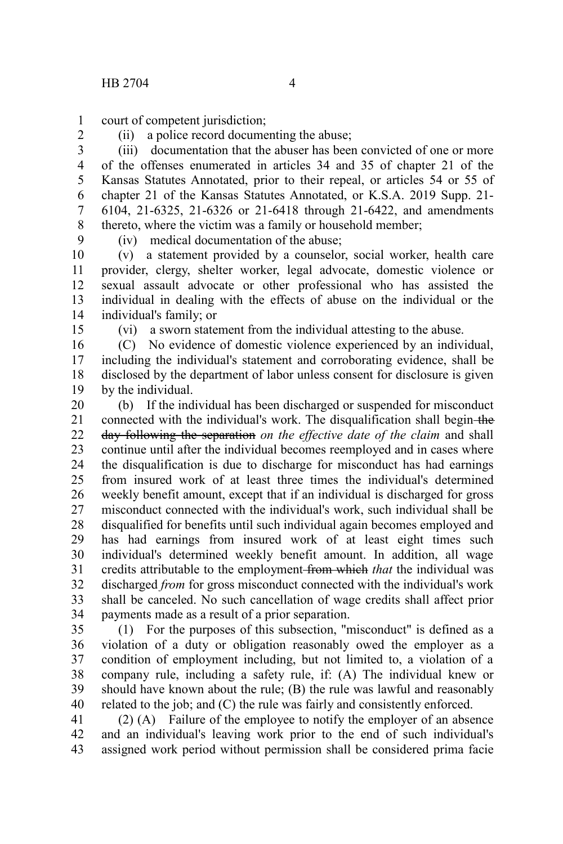court of competent jurisdiction; 1

2

(ii) a police record documenting the abuse;

(iii) documentation that the abuser has been convicted of one or more of the offenses enumerated in articles 34 and 35 of chapter 21 of the Kansas Statutes Annotated, prior to their repeal, or articles 54 or 55 of chapter 21 of the Kansas Statutes Annotated, or K.S.A. 2019 Supp. 21- 6104, 21-6325, 21-6326 or 21-6418 through 21-6422, and amendments thereto, where the victim was a family or household member; 3 4 5 6 7 8

9

(iv) medical documentation of the abuse;

(v) a statement provided by a counselor, social worker, health care provider, clergy, shelter worker, legal advocate, domestic violence or sexual assault advocate or other professional who has assisted the individual in dealing with the effects of abuse on the individual or the individual's family; or 10 11 12 13 14

15

(vi) a sworn statement from the individual attesting to the abuse.

(C) No evidence of domestic violence experienced by an individual, including the individual's statement and corroborating evidence, shall be disclosed by the department of labor unless consent for disclosure is given by the individual. 16 17 18 19

(b) If the individual has been discharged or suspended for misconduct connected with the individual's work. The disqualification shall begin-the day following the separation *on the effective date of the claim* and shall continue until after the individual becomes reemployed and in cases where the disqualification is due to discharge for misconduct has had earnings from insured work of at least three times the individual's determined weekly benefit amount, except that if an individual is discharged for gross misconduct connected with the individual's work, such individual shall be disqualified for benefits until such individual again becomes employed and has had earnings from insured work of at least eight times such individual's determined weekly benefit amount. In addition, all wage credits attributable to the employment from which *that* the individual was discharged *from* for gross misconduct connected with the individual's work shall be canceled. No such cancellation of wage credits shall affect prior payments made as a result of a prior separation. 20 21 22 23 24 25 26 27 28 29 30 31 32 33 34

(1) For the purposes of this subsection, "misconduct" is defined as a violation of a duty or obligation reasonably owed the employer as a condition of employment including, but not limited to, a violation of a company rule, including a safety rule, if: (A) The individual knew or should have known about the rule; (B) the rule was lawful and reasonably related to the job; and (C) the rule was fairly and consistently enforced. 35 36 37 38 39 40

(2) (A) Failure of the employee to notify the employer of an absence and an individual's leaving work prior to the end of such individual's assigned work period without permission shall be considered prima facie 41 42 43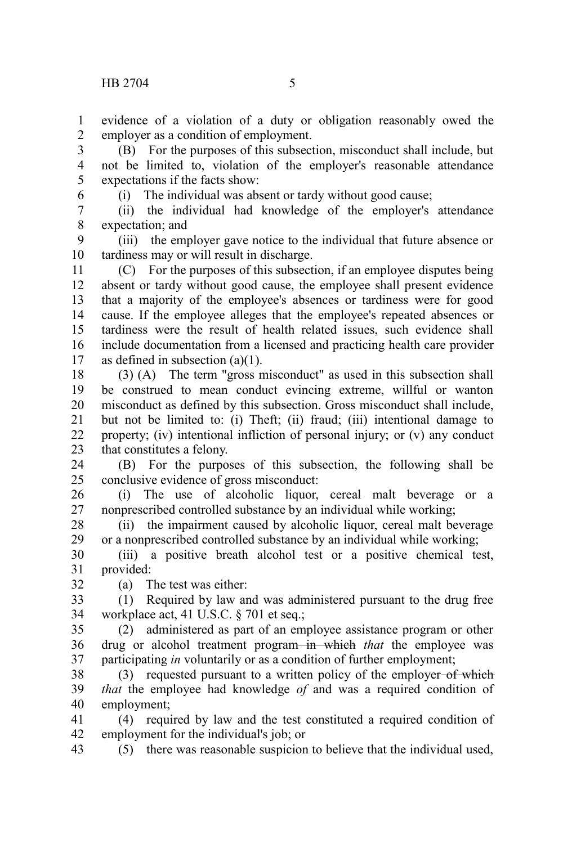evidence of a violation of a duty or obligation reasonably owed the employer as a condition of employment. 1 2

(B) For the purposes of this subsection, misconduct shall include, but not be limited to, violation of the employer's reasonable attendance expectations if the facts show: 3 4 5

6

(i) The individual was absent or tardy without good cause;

(ii) the individual had knowledge of the employer's attendance expectation; and 7 8

(iii) the employer gave notice to the individual that future absence or tardiness may or will result in discharge. 9 10

(C) For the purposes of this subsection, if an employee disputes being absent or tardy without good cause, the employee shall present evidence that a majority of the employee's absences or tardiness were for good cause. If the employee alleges that the employee's repeated absences or tardiness were the result of health related issues, such evidence shall include documentation from a licensed and practicing health care provider as defined in subsection (a)(1). 11 12 13 14 15 16 17

(3) (A) The term "gross misconduct" as used in this subsection shall be construed to mean conduct evincing extreme, willful or wanton misconduct as defined by this subsection. Gross misconduct shall include, but not be limited to: (i) Theft; (ii) fraud; (iii) intentional damage to property; (iv) intentional infliction of personal injury; or (v) any conduct that constitutes a felony. 18 19 20 21 22 23

(B) For the purposes of this subsection, the following shall be conclusive evidence of gross misconduct: 24 25

(i) The use of alcoholic liquor, cereal malt beverage or a nonprescribed controlled substance by an individual while working; 26 27

(ii) the impairment caused by alcoholic liquor, cereal malt beverage or a nonprescribed controlled substance by an individual while working; 28 29

(iii) a positive breath alcohol test or a positive chemical test, provided: 30 31 32

(a) The test was either:

(1) Required by law and was administered pursuant to the drug free workplace act, 41 U.S.C. § 701 et seq.; 33 34

(2) administered as part of an employee assistance program or other drug or alcohol treatment program-in which that the employee was participating *in* voluntarily or as a condition of further employment; 35 36 37

(3) requested pursuant to a written policy of the employer-of which *that* the employee had knowledge *of* and was a required condition of employment; 38 39 40

(4) required by law and the test constituted a required condition of employment for the individual's job; or 41 42

(5) there was reasonable suspicion to believe that the individual used, 43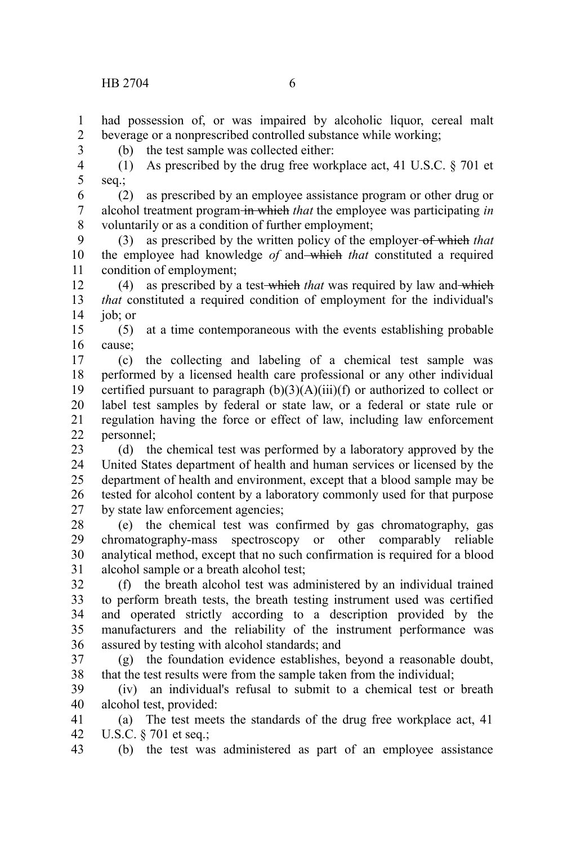3

had possession of, or was impaired by alcoholic liquor, cereal malt beverage or a nonprescribed controlled substance while working; 1 2

(b) the test sample was collected either:

(1) As prescribed by the drug free workplace act, 41 U.S.C.  $\S$  701 et seq.; 4 5

(2) as prescribed by an employee assistance program or other drug or alcohol treatment program in which *that* the employee was participating *in* voluntarily or as a condition of further employment; 6 7 8

(3) as prescribed by the written policy of the employer of which *that* the employee had knowledge *of* and which *that* constituted a required condition of employment; 9 10 11

(4) as prescribed by a test which *that* was required by law and which *that* constituted a required condition of employment for the individual's job; or 12 13 14

(5) at a time contemporaneous with the events establishing probable cause; 15 16

(c) the collecting and labeling of a chemical test sample was performed by a licensed health care professional or any other individual certified pursuant to paragraph  $(b)(3)(A)(iii)(f)$  or authorized to collect or label test samples by federal or state law, or a federal or state rule or regulation having the force or effect of law, including law enforcement personnel; 17 18 19 20 21 22

(d) the chemical test was performed by a laboratory approved by the United States department of health and human services or licensed by the department of health and environment, except that a blood sample may be tested for alcohol content by a laboratory commonly used for that purpose by state law enforcement agencies; 23 24 25 26 27

(e) the chemical test was confirmed by gas chromatography, gas chromatography-mass spectroscopy or other comparably reliable analytical method, except that no such confirmation is required for a blood alcohol sample or a breath alcohol test; 28 29 30 31

(f) the breath alcohol test was administered by an individual trained to perform breath tests, the breath testing instrument used was certified and operated strictly according to a description provided by the manufacturers and the reliability of the instrument performance was assured by testing with alcohol standards; and 32 33 34 35 36

(g) the foundation evidence establishes, beyond a reasonable doubt, that the test results were from the sample taken from the individual; 37 38

(iv) an individual's refusal to submit to a chemical test or breath alcohol test, provided: 39 40

(a) The test meets the standards of the drug free workplace act, 41 U.S.C. § 701 et seq.; 41 42

(b) the test was administered as part of an employee assistance 43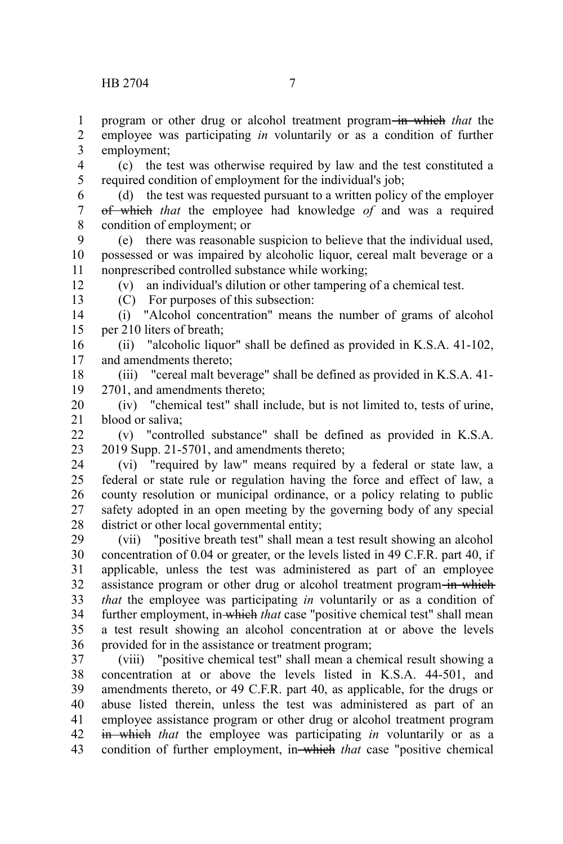program or other drug or alcohol treatment program in which *that* the employee was participating *in* voluntarily or as a condition of further 1 2

employment; 3

(c) the test was otherwise required by law and the test constituted a required condition of employment for the individual's job; 4 5

- (d) the test was requested pursuant to a written policy of the employer of which *that* the employee had knowledge *of* and was a required condition of employment; or 6 7 8
- (e) there was reasonable suspicion to believe that the individual used, possessed or was impaired by alcoholic liquor, cereal malt beverage or a nonprescribed controlled substance while working; 9 10 11

(v) an individual's dilution or other tampering of a chemical test.

12 13

(C) For purposes of this subsection:

(i) "Alcohol concentration" means the number of grams of alcohol per 210 liters of breath; 14 15

(ii) "alcoholic liquor" shall be defined as provided in K.S.A. 41-102, and amendments thereto; 16 17

(iii) "cereal malt beverage" shall be defined as provided in K.S.A. 41- 2701, and amendments thereto; 18 19

(iv) "chemical test" shall include, but is not limited to, tests of urine, blood or saliva; 20 21

(v) "controlled substance" shall be defined as provided in K.S.A. 2019 Supp. 21-5701, and amendments thereto;  $22$ 23

(vi) "required by law" means required by a federal or state law, a federal or state rule or regulation having the force and effect of law, a county resolution or municipal ordinance, or a policy relating to public safety adopted in an open meeting by the governing body of any special district or other local governmental entity; 24 25 26 27 28

(vii) "positive breath test" shall mean a test result showing an alcohol concentration of 0.04 or greater, or the levels listed in 49 C.F.R. part 40, if applicable, unless the test was administered as part of an employee assistance program or other drug or alcohol treatment program in which *that* the employee was participating *in* voluntarily or as a condition of further employment, in which *that* case "positive chemical test" shall mean a test result showing an alcohol concentration at or above the levels provided for in the assistance or treatment program; 29 30 31 32 33 34 35 36

(viii) "positive chemical test" shall mean a chemical result showing a concentration at or above the levels listed in K.S.A. 44-501, and amendments thereto, or 49 C.F.R. part 40, as applicable, for the drugs or abuse listed therein, unless the test was administered as part of an employee assistance program or other drug or alcohol treatment program in which *that* the employee was participating *in* voluntarily or as a condition of further employment, in which *that* case "positive chemical 37 38 39 40 41 42 43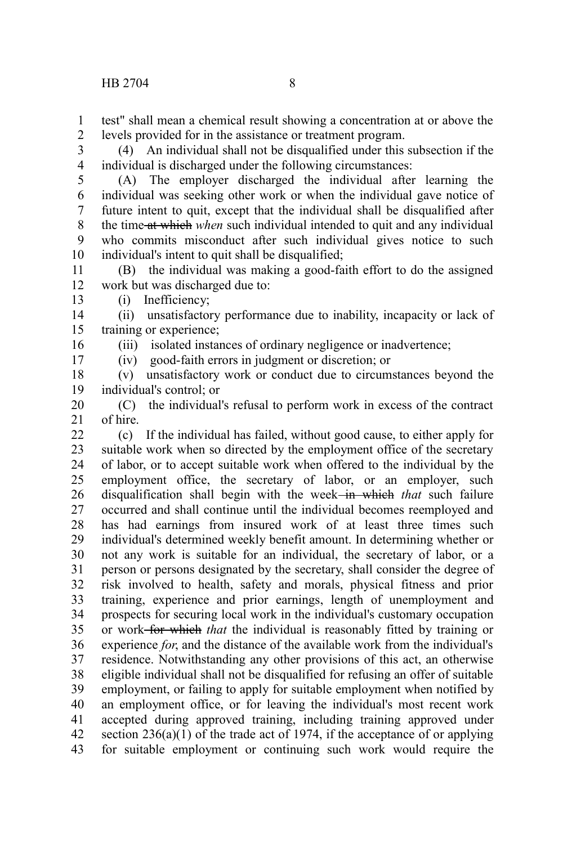test" shall mean a chemical result showing a concentration at or above the levels provided for in the assistance or treatment program. 1 2

(4) An individual shall not be disqualified under this subsection if the individual is discharged under the following circumstances: 3 4

(A) The employer discharged the individual after learning the individual was seeking other work or when the individual gave notice of future intent to quit, except that the individual shall be disqualified after the time at which *when* such individual intended to quit and any individual who commits misconduct after such individual gives notice to such individual's intent to quit shall be disqualified; 5 6 7 8 9 10

(B) the individual was making a good-faith effort to do the assigned work but was discharged due to: 11 12 13

(i) Inefficiency;

16 17

(ii) unsatisfactory performance due to inability, incapacity or lack of training or experience; 14 15

(iii) isolated instances of ordinary negligence or inadvertence;

(iv) good-faith errors in judgment or discretion; or

(v) unsatisfactory work or conduct due to circumstances beyond the individual's control; or 18 19

(C) the individual's refusal to perform work in excess of the contract of hire. 20 21

(c) If the individual has failed, without good cause, to either apply for suitable work when so directed by the employment office of the secretary of labor, or to accept suitable work when offered to the individual by the employment office, the secretary of labor, or an employer, such disqualification shall begin with the week in which *that* such failure occurred and shall continue until the individual becomes reemployed and has had earnings from insured work of at least three times such individual's determined weekly benefit amount. In determining whether or not any work is suitable for an individual, the secretary of labor, or a person or persons designated by the secretary, shall consider the degree of risk involved to health, safety and morals, physical fitness and prior training, experience and prior earnings, length of unemployment and prospects for securing local work in the individual's customary occupation or work for which *that* the individual is reasonably fitted by training or experience *for*, and the distance of the available work from the individual's residence. Notwithstanding any other provisions of this act, an otherwise eligible individual shall not be disqualified for refusing an offer of suitable employment, or failing to apply for suitable employment when notified by an employment office, or for leaving the individual's most recent work accepted during approved training, including training approved under section  $236(a)(1)$  of the trade act of 1974, if the acceptance of or applying for suitable employment or continuing such work would require the  $22$ 23 24 25 26 27 28 29 30 31 32 33 34 35 36 37 38 39 40 41 42 43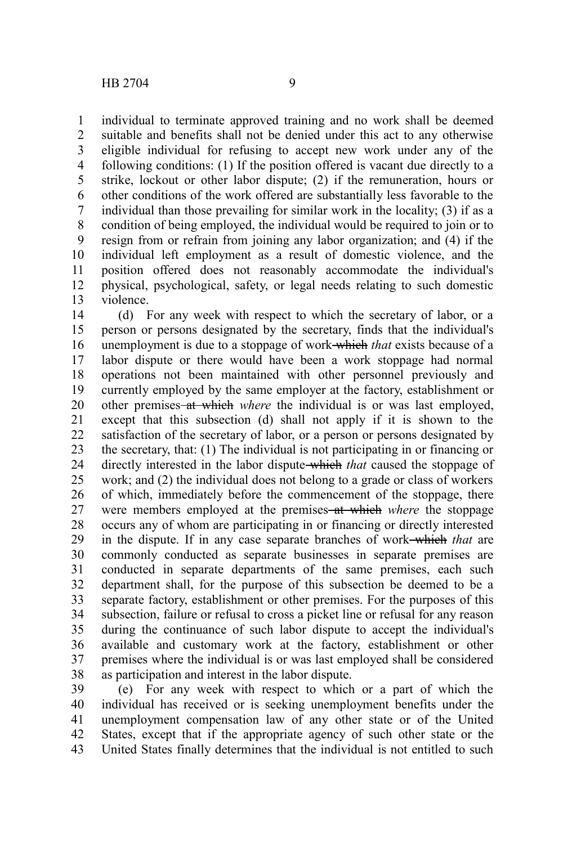individual to terminate approved training and no work shall be deemed suitable and benefits shall not be denied under this act to any otherwise eligible individual for refusing to accept new work under any of the following conditions: (1) If the position offered is vacant due directly to a strike, lockout or other labor dispute; (2) if the remuneration, hours or other conditions of the work offered are substantially less favorable to the individual than those prevailing for similar work in the locality; (3) if as a condition of being employed, the individual would be required to join or to resign from or refrain from joining any labor organization; and (4) if the individual left employment as a result of domestic violence, and the position offered does not reasonably accommodate the individual's physical, psychological, safety, or legal needs relating to such domestic violence. 1 2 3 4 5 6 7 8 9 10 11 12 13

(d) For any week with respect to which the secretary of labor, or a person or persons designated by the secretary, finds that the individual's unemployment is due to a stoppage of work which *that* exists because of a labor dispute or there would have been a work stoppage had normal operations not been maintained with other personnel previously and currently employed by the same employer at the factory, establishment or other premises at which *where* the individual is or was last employed, except that this subsection (d) shall not apply if it is shown to the satisfaction of the secretary of labor, or a person or persons designated by the secretary, that: (1) The individual is not participating in or financing or directly interested in the labor dispute which *that* caused the stoppage of work; and (2) the individual does not belong to a grade or class of workers of which, immediately before the commencement of the stoppage, there were members employed at the premises–at which *where* the stoppage occurs any of whom are participating in or financing or directly interested in the dispute. If in any case separate branches of work which *that* are commonly conducted as separate businesses in separate premises are conducted in separate departments of the same premises, each such department shall, for the purpose of this subsection be deemed to be a separate factory, establishment or other premises. For the purposes of this subsection, failure or refusal to cross a picket line or refusal for any reason during the continuance of such labor dispute to accept the individual's available and customary work at the factory, establishment or other premises where the individual is or was last employed shall be considered as participation and interest in the labor dispute. 14 15 16 17 18 19 20 21 22 23 24 25 26 27 28 29 30 31 32 33 34 35 36 37 38

(e) For any week with respect to which or a part of which the individual has received or is seeking unemployment benefits under the unemployment compensation law of any other state or of the United States, except that if the appropriate agency of such other state or the United States finally determines that the individual is not entitled to such 39 40 41 42 43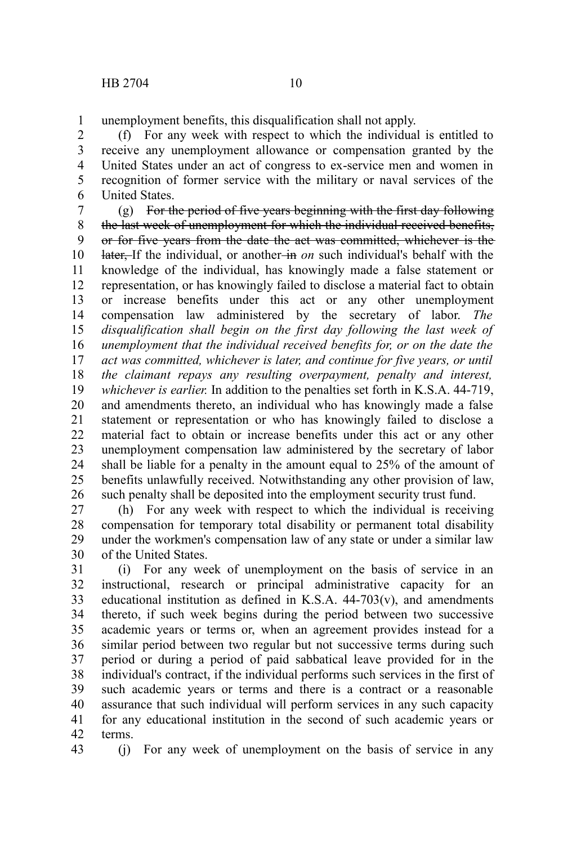unemployment benefits, this disqualification shall not apply. 1

(f) For any week with respect to which the individual is entitled to receive any unemployment allowance or compensation granted by the United States under an act of congress to ex-service men and women in recognition of former service with the military or naval services of the United States. 2 3 4 5 6

(g) For the period of five years beginning with the first day following the last week of unemployment for which the individual received benefits, or for five years from the date the act was committed, whichever is the later, If the individual, or another-in *on* such individual's behalf with the knowledge of the individual, has knowingly made a false statement or representation, or has knowingly failed to disclose a material fact to obtain or increase benefits under this act or any other unemployment compensation law administered by the secretary of labor. *The disqualification shall begin on the first day following the last week of unemployment that the individual received benefits for, or on the date the act was committed, whichever is later, and continue for five years, or until the claimant repays any resulting overpayment, penalty and interest, whichever is earlier.* In addition to the penalties set forth in K.S.A. 44-719, and amendments thereto, an individual who has knowingly made a false statement or representation or who has knowingly failed to disclose a material fact to obtain or increase benefits under this act or any other unemployment compensation law administered by the secretary of labor shall be liable for a penalty in the amount equal to 25% of the amount of benefits unlawfully received. Notwithstanding any other provision of law, such penalty shall be deposited into the employment security trust fund. 7 8 9 10 11 12 13 14 15 16 17 18 19 20 21 22 23 24 25 26

(h) For any week with respect to which the individual is receiving compensation for temporary total disability or permanent total disability under the workmen's compensation law of any state or under a similar law of the United States. 27 28 29 30

(i) For any week of unemployment on the basis of service in an instructional, research or principal administrative capacity for an educational institution as defined in K.S.A.  $44-703(v)$ , and amendments thereto, if such week begins during the period between two successive academic years or terms or, when an agreement provides instead for a similar period between two regular but not successive terms during such period or during a period of paid sabbatical leave provided for in the individual's contract, if the individual performs such services in the first of such academic years or terms and there is a contract or a reasonable assurance that such individual will perform services in any such capacity for any educational institution in the second of such academic years or terms. 31 32 33 34 35 36 37 38 39 40 41 42

43

(j) For any week of unemployment on the basis of service in any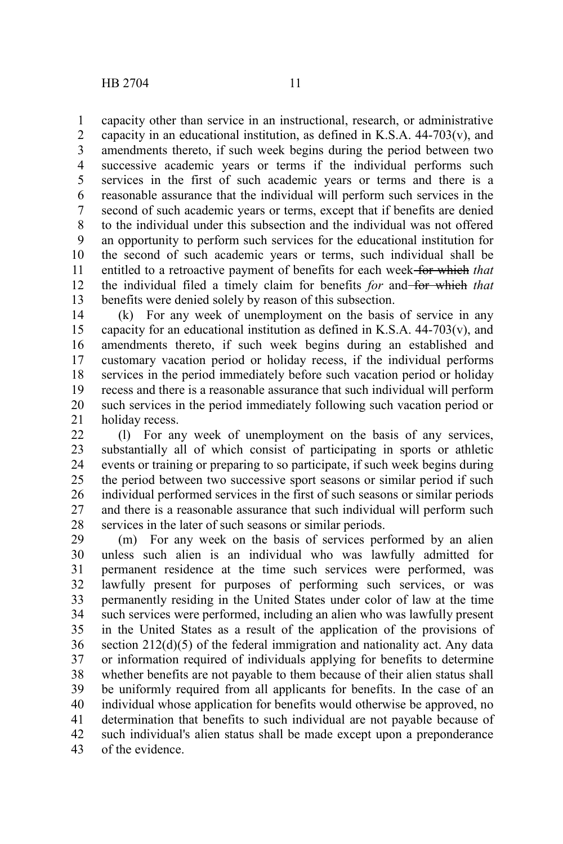capacity other than service in an instructional, research, or administrative capacity in an educational institution, as defined in K.S.A. 44-703(v), and amendments thereto, if such week begins during the period between two successive academic years or terms if the individual performs such services in the first of such academic years or terms and there is a reasonable assurance that the individual will perform such services in the second of such academic years or terms, except that if benefits are denied to the individual under this subsection and the individual was not offered an opportunity to perform such services for the educational institution for the second of such academic years or terms, such individual shall be entitled to a retroactive payment of benefits for each week for which *that* the individual filed a timely claim for benefits *for* and for which that benefits were denied solely by reason of this subsection. 1 2 3 4 5 6 7 8 9 10 11 12 13

(k) For any week of unemployment on the basis of service in any capacity for an educational institution as defined in K.S.A.  $44-703(v)$ , and amendments thereto, if such week begins during an established and customary vacation period or holiday recess, if the individual performs services in the period immediately before such vacation period or holiday recess and there is a reasonable assurance that such individual will perform such services in the period immediately following such vacation period or holiday recess. 14 15 16 17 18 19 20 21

(l) For any week of unemployment on the basis of any services, substantially all of which consist of participating in sports or athletic events or training or preparing to so participate, if such week begins during the period between two successive sport seasons or similar period if such individual performed services in the first of such seasons or similar periods and there is a reasonable assurance that such individual will perform such services in the later of such seasons or similar periods.  $22$ 23 24 25 26 27 28

(m) For any week on the basis of services performed by an alien unless such alien is an individual who was lawfully admitted for permanent residence at the time such services were performed, was lawfully present for purposes of performing such services, or was permanently residing in the United States under color of law at the time such services were performed, including an alien who was lawfully present in the United States as a result of the application of the provisions of section 212(d)(5) of the federal immigration and nationality act. Any data or information required of individuals applying for benefits to determine whether benefits are not payable to them because of their alien status shall be uniformly required from all applicants for benefits. In the case of an individual whose application for benefits would otherwise be approved, no determination that benefits to such individual are not payable because of such individual's alien status shall be made except upon a preponderance of the evidence. 29 30 31 32 33 34 35 36 37 38 39 40 41 42 43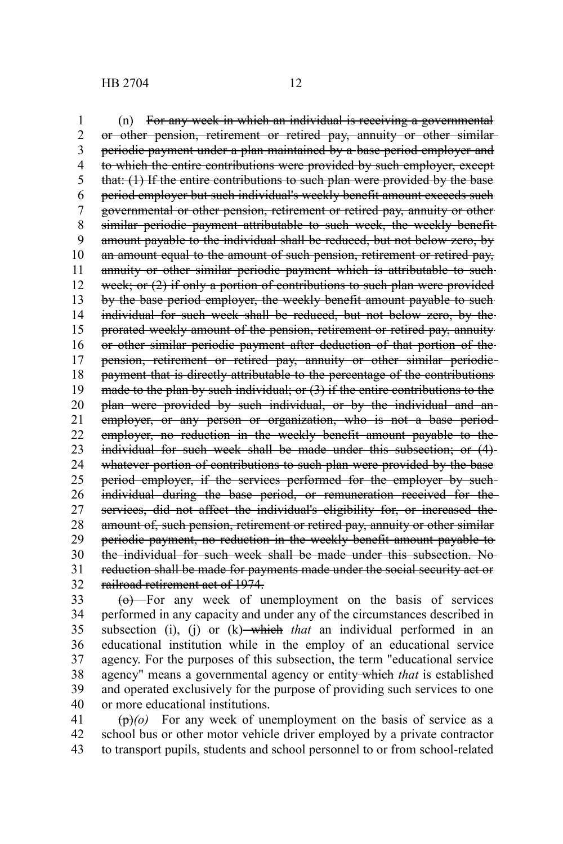HB 2704 12

(n) For any week in which an individual is receiving a governmental or other pension, retirement or retired pay, annuity or other similar periodic payment under a plan maintained by a base period employer and to which the entire contributions were provided by such employer, except that: (1) If the entire contributions to such plan were provided by the base period employer but such individual's weekly benefit amount exceeds such governmental or other pension, retirement or retired pay, annuity or other similar periodic payment attributable to such week, the weekly benefitamount payable to the individual shall be reduced, but not below zero, by an amount equal to the amount of such pension, retirement or retired pay, annuity or other similar periodic payment which is attributable to suchweek; or (2) if only a portion of contributions to such plan were provided by the base period employer, the weekly benefit amount payable to such individual for such week shall be reduced, but not below zero, by the prorated weekly amount of the pension, retirement or retired pay, annuity or other similar periodic payment after deduction of that portion of the pension, retirement or retired pay, annuity or other similar periodic payment that is directly attributable to the percentage of the contributions made to the plan by such individual; or (3) if the entire contributions to the plan were provided by such individual, or by the individual and an employer, or any person or organization, who is not a base periodemployer, no reduction in the weekly benefit amount payable to the individual for such week shall be made under this subsection; or (4) whatever portion of contributions to such plan were provided by the base period employer, if the services performed for the employer by suchindividual during the base period, or remuneration received for the services, did not affect the individual's eligibility for, or increased the amount of, such pension, retirement or retired pay, annuity or other similar periodic payment, no reduction in the weekly benefit amount payable to the individual for such week shall be made under this subsection. No reduction shall be made for payments made under the social security act or 1 2 3 4 5 6 7 8 9 10 11 12 13 14 15 16 17 18 19 20 21 22 23 24 25 26 27 28 29 30 31

railroad retirement act of 1974. 32

(o) For any week of unemployment on the basis of services performed in any capacity and under any of the circumstances described in subsection (i), (j) or  $(k)$ —which *that* an individual performed in an educational institution while in the employ of an educational service agency. For the purposes of this subsection, the term "educational service agency" means a governmental agency or entity which *that* is established and operated exclusively for the purpose of providing such services to one or more educational institutions. 33 34 35 36 37 38 39 40

(p)*(o)* For any week of unemployment on the basis of service as a school bus or other motor vehicle driver employed by a private contractor to transport pupils, students and school personnel to or from school-related 41 42 43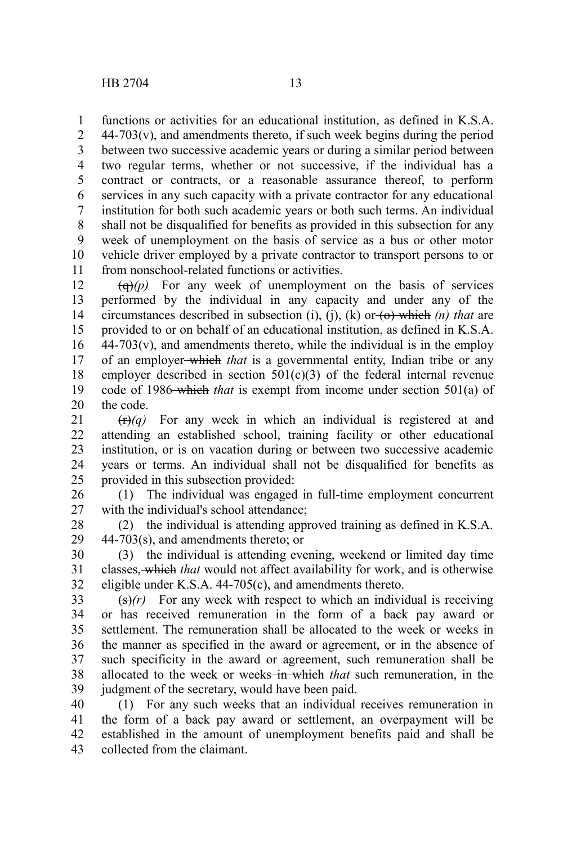functions or activities for an educational institution, as defined in K.S.A. 1

 $44-703(v)$ , and amendments thereto, if such week begins during the period between two successive academic years or during a similar period between two regular terms, whether or not successive, if the individual has a contract or contracts, or a reasonable assurance thereof, to perform services in any such capacity with a private contractor for any educational institution for both such academic years or both such terms. An individual shall not be disqualified for benefits as provided in this subsection for any week of unemployment on the basis of service as a bus or other motor vehicle driver employed by a private contractor to transport persons to or from nonschool-related functions or activities. 2 3 4 5 6 7 8 9 10 11

 $\left(\frac{q}{q}\right)(p)$  For any week of unemployment on the basis of services performed by the individual in any capacity and under any of the circumstances described in subsection (i), (j), (k) or  $\left(\theta\right)$  which (n) that are provided to or on behalf of an educational institution, as defined in K.S.A.  $44-703(v)$ , and amendments thereto, while the individual is in the employ of an employer which *that* is a governmental entity, Indian tribe or any employer described in section  $501(c)(3)$  of the federal internal revenue code of 1986 which *that* is exempt from income under section 501(a) of the code. 12 13 14 15 16 17 18 19 20

 $(r)$  For any week in which an individual is registered at and attending an established school, training facility or other educational institution, or is on vacation during or between two successive academic years or terms. An individual shall not be disqualified for benefits as provided in this subsection provided: 21 22 23 24 25

(1) The individual was engaged in full-time employment concurrent with the individual's school attendance; 26 27

(2) the individual is attending approved training as defined in K.S.A. 44-703(s), and amendments thereto; or 28 29

(3) the individual is attending evening, weekend or limited day time classes, which *that* would not affect availability for work, and is otherwise eligible under K.S.A. 44-705(c), and amendments thereto. 30 31 32

 $\left(\frac{s}{r}\right)$  For any week with respect to which an individual is receiving or has received remuneration in the form of a back pay award or settlement. The remuneration shall be allocated to the week or weeks in the manner as specified in the award or agreement, or in the absence of such specificity in the award or agreement, such remuneration shall be allocated to the week or weeks<del> in which</del> that such remuneration, in the judgment of the secretary, would have been paid. 33 34 35 36 37 38 39

(1) For any such weeks that an individual receives remuneration in the form of a back pay award or settlement, an overpayment will be established in the amount of unemployment benefits paid and shall be collected from the claimant. 40 41 42 43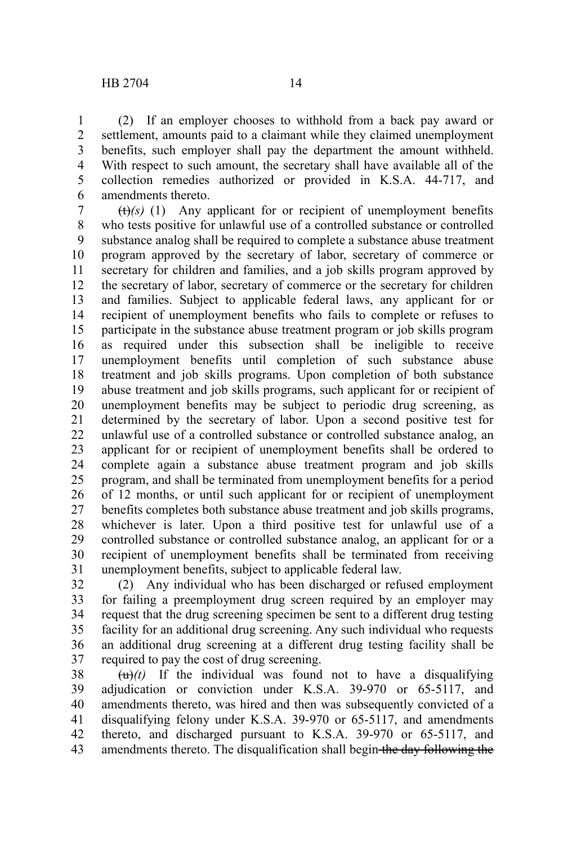(2) If an employer chooses to withhold from a back pay award or settlement, amounts paid to a claimant while they claimed unemployment benefits, such employer shall pay the department the amount withheld. With respect to such amount, the secretary shall have available all of the collection remedies authorized or provided in K.S.A. 44-717, and amendments thereto. 1 2 3 4 5 6

 $(t)$ (s) (1) Any applicant for or recipient of unemployment benefits who tests positive for unlawful use of a controlled substance or controlled substance analog shall be required to complete a substance abuse treatment program approved by the secretary of labor, secretary of commerce or secretary for children and families, and a job skills program approved by the secretary of labor, secretary of commerce or the secretary for children and families. Subject to applicable federal laws, any applicant for or recipient of unemployment benefits who fails to complete or refuses to participate in the substance abuse treatment program or job skills program as required under this subsection shall be ineligible to receive unemployment benefits until completion of such substance abuse treatment and job skills programs. Upon completion of both substance abuse treatment and job skills programs, such applicant for or recipient of unemployment benefits may be subject to periodic drug screening, as determined by the secretary of labor. Upon a second positive test for unlawful use of a controlled substance or controlled substance analog, an applicant for or recipient of unemployment benefits shall be ordered to complete again a substance abuse treatment program and job skills program, and shall be terminated from unemployment benefits for a period of 12 months, or until such applicant for or recipient of unemployment benefits completes both substance abuse treatment and job skills programs, whichever is later. Upon a third positive test for unlawful use of a controlled substance or controlled substance analog, an applicant for or a recipient of unemployment benefits shall be terminated from receiving unemployment benefits, subject to applicable federal law. 7 8 9 10 11 12 13 14 15 16 17 18 19 20 21 22 23 24 25 26 27 28 29 30 31

(2) Any individual who has been discharged or refused employment for failing a preemployment drug screen required by an employer may request that the drug screening specimen be sent to a different drug testing facility for an additional drug screening. Any such individual who requests an additional drug screening at a different drug testing facility shall be required to pay the cost of drug screening. 32 33 34 35 36 37

 $\left(\frac{u}{u}\right)(t)$  If the individual was found not to have a disqualifying adjudication or conviction under K.S.A. 39-970 or 65-5117, and amendments thereto, was hired and then was subsequently convicted of a disqualifying felony under K.S.A. 39-970 or 65-5117, and amendments thereto, and discharged pursuant to K.S.A. 39-970 or 65-5117, and amendments thereto. The disqualification shall begin the day following the 38 39 40 41 42 43